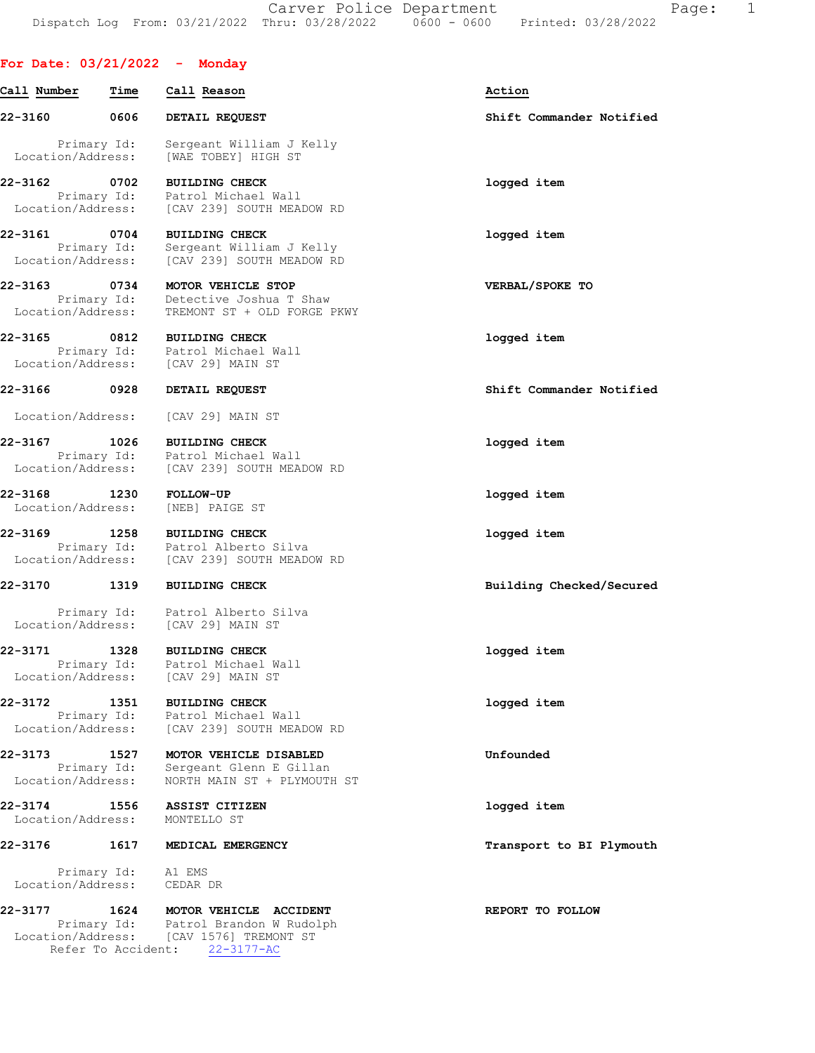# For Date: 03/21/2022 - Monday

| 0606<br>DETAIL REQUEST<br>Primary Id:<br>Sergeant William J Kelly<br>Location/Address:<br>[WAE TOBEY] HIGH ST<br>0702<br><b>BUILDING CHECK</b><br>Primary Id:<br>Patrol Michael Wall | Shift Commander Notified<br>logged item                                                                                                                                                                                   |
|--------------------------------------------------------------------------------------------------------------------------------------------------------------------------------------|---------------------------------------------------------------------------------------------------------------------------------------------------------------------------------------------------------------------------|
|                                                                                                                                                                                      |                                                                                                                                                                                                                           |
|                                                                                                                                                                                      |                                                                                                                                                                                                                           |
|                                                                                                                                                                                      |                                                                                                                                                                                                                           |
| Location/Address:<br>[CAV 239] SOUTH MEADOW RD                                                                                                                                       |                                                                                                                                                                                                                           |
| 0704<br><b>BUILDING CHECK</b><br>Sergeant William J Kelly<br>Primary Id:                                                                                                             | logged item                                                                                                                                                                                                               |
| Location/Address:<br>[CAV 239] SOUTH MEADOW RD                                                                                                                                       |                                                                                                                                                                                                                           |
| Detective Joshua T Shaw<br>Primary Id:<br>Location/Address:<br>TREMONT ST + OLD FORGE PKWY                                                                                           | VERBAL/SPOKE TO                                                                                                                                                                                                           |
| 0812<br><b>BUILDING CHECK</b>                                                                                                                                                        | logged item                                                                                                                                                                                                               |
| Location/Address:<br>[CAV 29] MAIN ST                                                                                                                                                |                                                                                                                                                                                                                           |
| $\sim$ 0928<br>DETAIL REQUEST                                                                                                                                                        | Shift Commander Notified                                                                                                                                                                                                  |
| Location/Address:<br>[CAV 29] MAIN ST                                                                                                                                                |                                                                                                                                                                                                                           |
| 1026<br><b>BUILDING CHECK</b>                                                                                                                                                        | logged item                                                                                                                                                                                                               |
| Location/Address:<br>[CAV 239] SOUTH MEADOW RD                                                                                                                                       |                                                                                                                                                                                                                           |
| 1230<br><b>FOLLOW-UP</b><br>Location/Address:<br>[NEB] PAIGE ST                                                                                                                      | logged item                                                                                                                                                                                                               |
| 1258<br><b>BUILDING CHECK</b><br>Patrol Alberto Silva<br>Primary Id:<br>Location/Address:<br>[CAV 239] SOUTH MEADOW RD                                                               | logged item                                                                                                                                                                                                               |
| 1319<br><b>BUILDING CHECK</b>                                                                                                                                                        | Building Checked/Secured                                                                                                                                                                                                  |
| Primary Id:<br>Patrol Alberto Silva<br>Location/Address:<br>[CAV 29] MAIN ST                                                                                                         |                                                                                                                                                                                                                           |
| 1328<br><b>BUILDING CHECK</b>                                                                                                                                                        | logged item                                                                                                                                                                                                               |
| Location/Address:<br>[CAV 29] MAIN ST                                                                                                                                                |                                                                                                                                                                                                                           |
| 1351<br><b>BUILDING CHECK</b>                                                                                                                                                        | logged item                                                                                                                                                                                                               |
| Location/Address:<br>[CAV 239] SOUTH MEADOW RD                                                                                                                                       |                                                                                                                                                                                                                           |
| 1527<br>MOTOR VEHICLE DISABLED                                                                                                                                                       | Unfounded                                                                                                                                                                                                                 |
| Location/Address:<br>NORTH MAIN ST + PLYMOUTH ST                                                                                                                                     |                                                                                                                                                                                                                           |
| 1556<br>ASSIST CITIZEN<br>Location/Address:<br>MONTELLO ST                                                                                                                           | logged item                                                                                                                                                                                                               |
| 1617<br>MEDICAL EMERGENCY                                                                                                                                                            | Transport to BI Plymouth                                                                                                                                                                                                  |
| Primary Id:<br>A1 EMS<br>Location/Address:<br>CEDAR DR                                                                                                                               |                                                                                                                                                                                                                           |
| 1624 MOTOR VEHICLE ACCIDENT                                                                                                                                                          | REPORT TO FOLLOW                                                                                                                                                                                                          |
| Primary Id:                                                                                                                                                                          |                                                                                                                                                                                                                           |
|                                                                                                                                                                                      | 0734<br>MOTOR VEHICLE STOP<br>Primary Id: Patrol Michael Wall<br>Primary Id:<br>Patrol Michael Wall<br>Primary Id:<br>Patrol Michael Wall<br>Primary Id:<br>Patrol Michael Wall<br>Primary Id:<br>Sergeant Glenn E Gillan |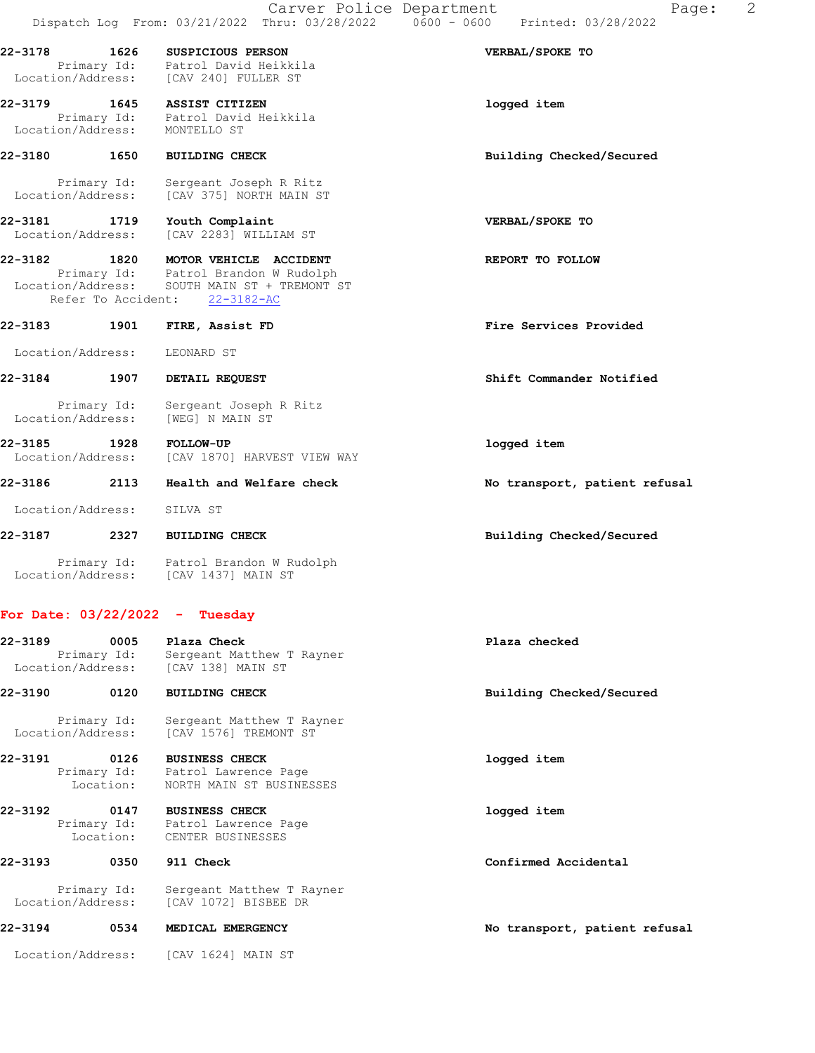| 22-3178                                  | 1626 | SUSPICIOUS PERSON<br>Primary Id: Patrol David Heikkila<br>Location/Address: [CAV 240] FULLER ST                                         | VERBAL/SPOKE TO               |
|------------------------------------------|------|-----------------------------------------------------------------------------------------------------------------------------------------|-------------------------------|
| 22-3179<br>Location/Address: MONTELLO ST |      | 1645 ASSIST CITIZEN<br>Primary Id: Patrol David Heikkila                                                                                | logged item                   |
| 22-3180<br>1650                          |      | <b>BUILDING CHECK</b>                                                                                                                   | Building Checked/Secured      |
| Primary Id:                              |      | Sergeant Joseph R Ritz<br>Location/Address: [CAV 375] NORTH MAIN ST                                                                     |                               |
| 22-3181<br>Location/Address:             | 1719 | Youth Complaint<br>[CAV 2283] WILLIAM ST                                                                                                | VERBAL/SPOKE TO               |
| 22-3182<br>Refer To Accident:            |      | 1820 MOTOR VEHICLE ACCIDENT<br>Primary Id: Patrol Brandon W Rudolph<br>Location/Address: SOUTH MAIN ST + TREMONT ST<br>$22 - 3182 - AC$ | REPORT TO FOLLOW              |
| 22-3183                                  | 1901 | FIRE, Assist FD                                                                                                                         | Fire Services Provided        |
| Location/Address:                        |      | LEONARD ST                                                                                                                              |                               |
| 22-3184                                  | 1907 | DETAIL REQUEST                                                                                                                          | Shift Commander Notified      |
| Primary Id:<br>Location/Address:         |      | Sergeant Joseph R Ritz<br>[WEG] N MAIN ST                                                                                               |                               |
| 22-3185<br>Location/Address:             | 1928 | <b>FOLLOW-UP</b><br>[CAV 1870] HARVEST VIEW WAY                                                                                         | logged item                   |
| 22-3186                                  | 2113 | Health and Welfare check                                                                                                                | No transport, patient refusal |
| Location/Address:                        |      | SILVA ST                                                                                                                                |                               |
| 22-3187                                  | 2327 | <b>BUILDING CHECK</b>                                                                                                                   | Building Checked/Secured      |

 Primary Id: Patrol Brandon W Rudolph Location/Address: [CAV 1437] MAIN ST

## For Date: 03/22/2022 - Tuesday

| 22-3189 | 0005<br>Primary Id: | Plaza Check<br>Sergeant Matthew T Rayner<br>Location/Address: [CAV 138] MAIN ST                 | Plaza checked            |
|---------|---------------------|-------------------------------------------------------------------------------------------------|--------------------------|
| 22-3190 | 0120                | <b>BUILDING CHECK</b>                                                                           | Building Checked/Secured |
|         | Primary Id:         | Sergeant Matthew T Rayner<br>Location/Address: [CAV 1576] TREMONT ST                            |                          |
| 22-3191 | 0126                | <b>BUSINESS CHECK</b><br>Primary Id: Patrol Lawrence Page<br>Location: NORTH MAIN ST BUSINESSES | logged item              |
| 22-3192 | 0147                | <b>BUSINESS CHECK</b><br>Primary Id: Patrol Lawrence Page<br>Location: CENTER BUSINESSES        | logged item              |
| 22-3193 | 0350                | 911 Check                                                                                       | Confirmed Accidental     |
|         | Primary Id:         | Sergeant Matthew T Rayner<br>Location/Address: [CAV 1072] BISBEE DR                             |                          |

22-3194 0534 MEDICAL EMERGENCY No transport, patient refusal

Location/Address: [CAV 1624] MAIN ST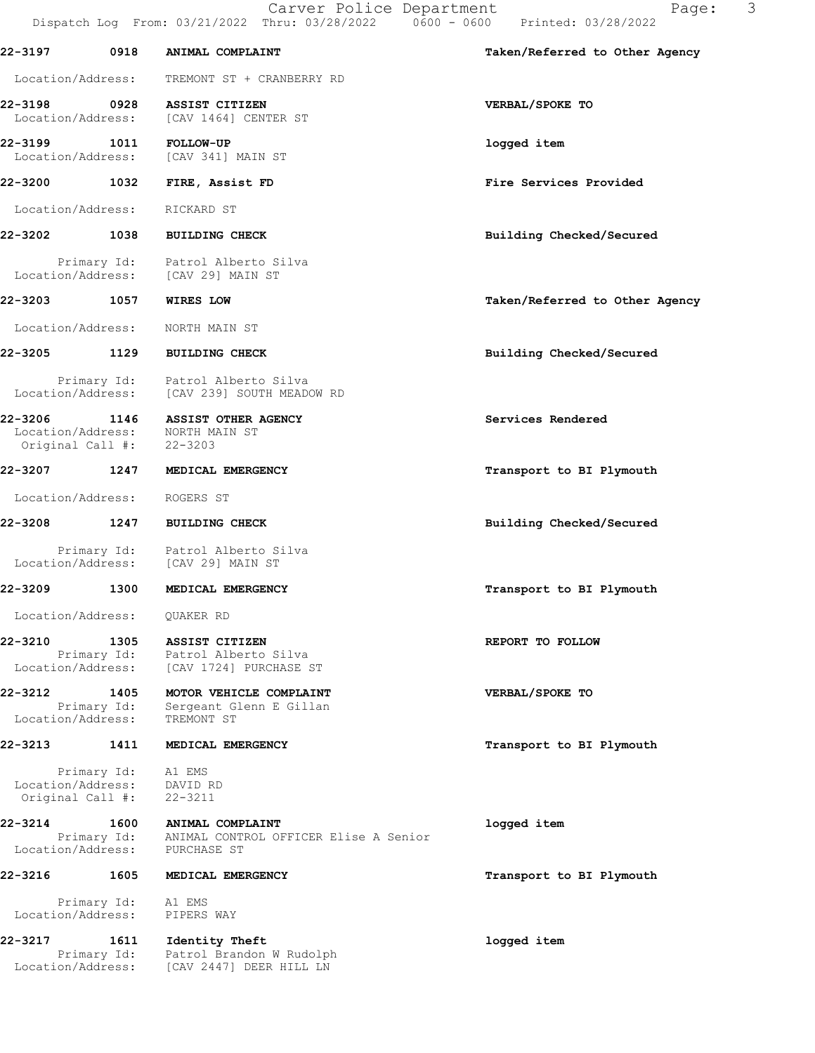22-3197 0918 ANIMAL COMPLAINT Taken/Referred to Other Agency Location/Address: TREMONT ST + CRANBERRY RD 22-3198 0928 ASSIST CITIZEN VERBAL/SPOKE TO Location/Address: [CAV 1464] CENTER ST 22-3199 1011 FOLLOW-UP logged item Location/Address: [CAV 341] MAIN ST 22-3200 1032 FIRE, Assist FD Fire Services Provided Location/Address: RICKARD ST 22-3202 1038 BUILDING CHECK Building Checked/Secured Primary Id: Patrol Alberto Silva Location/Address: [CAV 29] MAIN ST 22-3203 1057 WIRES LOW Taken/Referred to Other Agency Location/Address: NORTH MAIN ST 22-3205 1129 BUILDING CHECK Building Checked/Secured Primary Id: Patrol Alberto Silva Location/Address: [CAV 239] SOUTH MEADOW RD 22-3206 1146 ASSIST OTHER AGENCY Services Rendered Location/Address: NORTH MAIN ST Original Call #: 22-3203 22-3207 1247 MEDICAL EMERGENCY **1247** Transport to BI Plymouth Location/Address: ROGERS ST 22-3208 1247 BUILDING CHECK Building Checked/Secured Primary Id: Patrol Alberto Silva Location/Address: [CAV 29] MAIN ST 22-3209 1300 MEDICAL EMERGENCY **1200** 1300 MEDICAL EMERGENCY Location/Address: QUAKER RD 22-3210 1305 ASSIST CITIZEN **1201 1305 ASSIST CITIZEN**  Primary Id: Patrol Alberto Silva Location/Address: [CAV 1724] PURCHASE ST 22-3212 1405 MOTOR VEHICLE COMPLAINT VERBAL/SPOKE TO Primary Id: Sergeant Glenn E Gillan Location/Address: TREMONT ST 22-3213 1411 MEDICAL EMERGENCY **12000** Transport to BI Plymouth Primary Id: A1 EMS<br>ion/Address: DAVID RD Location/Address: Original Call #: 22-3211 22-3214 1600 ANIMAL COMPLAINT logged item Primary Id: ANIMAL CONTROL OFFICER Elise A Senior Location/Address: PURCHASE ST 22-3216 1605 MEDICAL EMERGENCY **1200 1200 1200 1200 1200 1200 1200** Transport to BI Plymouth Primary Id: A1 EMS Location/Address: PIPERS WAY 22-3217 1611 Identity Theft logged item Primary Id: Patrol Brandon W Rudolph Location/Address: [CAV 2447] DEER HILL LN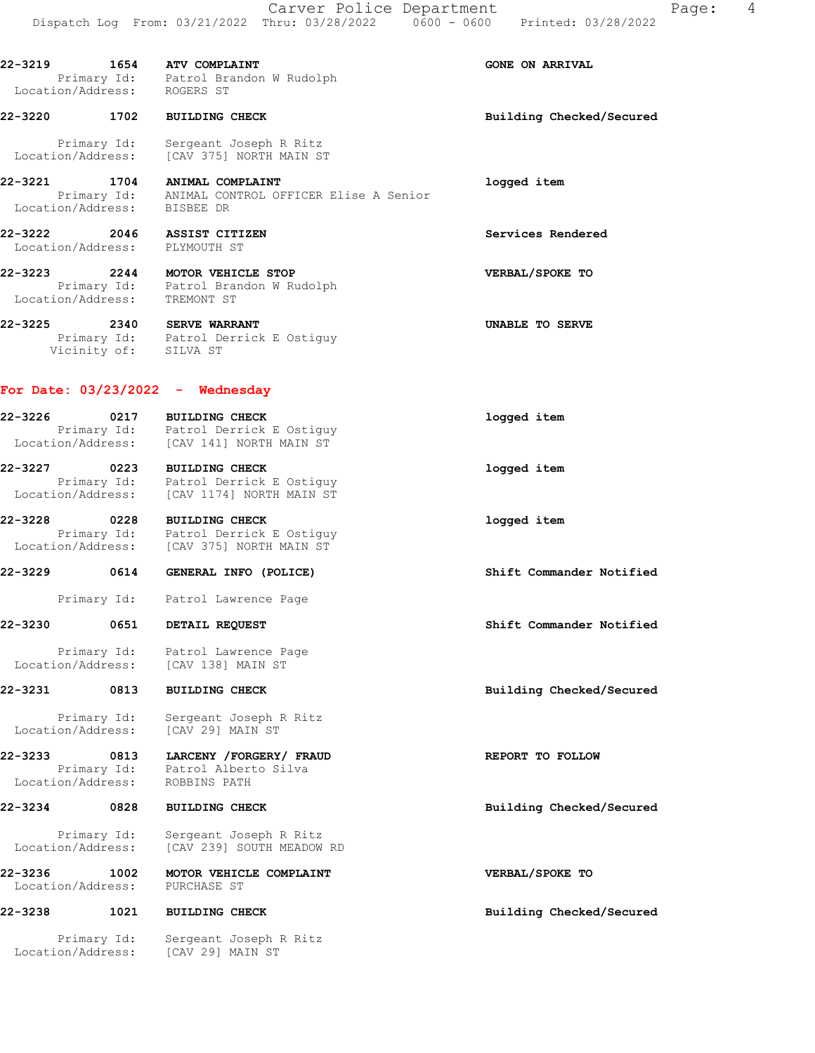22-3219 1654 ATV COMPLAINT GONE ON ARRIVAL Primary Id: Patrol Brandon W Rudolph Location/Address: ROGERS ST

22-3220 1702 BUILDING CHECK Building Checked/Secured Primary Id: Sergeant Joseph R Ritz Location/Address: [CAV 375] NORTH MAIN ST

22-3221 1704 ANIMAL COMPLAINT logged item Primary Id: ANIMAL CONTROL OFFICER Elise A Senior Location/Address: BISBEE DR

22-3222 2046 ASSIST CITIZEN Services Rendered

22-3223 2244 MOTOR VEHICLE STOP VERBAL/SPOKE TO

22-3225 2340 SERVE WARRANT UNABLE TO SERVE

 Primary Id: Patrol Derrick E Ostiguy Vicinity of: SILVA ST

Primary Id: Patrol Brandon W Rudolph

### For Date: 03/23/2022 - Wednesday

Location/Address: PLYMOUTH ST

Location/Address: TREMONT ST

| 22-3226<br>0217<br>Primary Id:<br>Location/Address: |      | <b>BUILDING CHECK</b><br>Patrol Derrick E Ostiguy<br>ICAV 1411 NORTH MAIN ST | logged item |
|-----------------------------------------------------|------|------------------------------------------------------------------------------|-------------|
| 22-3227                                             | 0223 | <b>BUILDING CHECK</b>                                                        | logged item |

 Primary Id: Patrol Derrick E Ostiguy Location/Address: [CAV 1174] NORTH MAIN ST

22-3228 0228 BUILDING CHECK logged item Primary Id: Patrol Derrick E Ostiguy Location/Address: [CAV 375] NORTH MAIN ST

### 22-3229 0614 GENERAL INFO (POLICE) Shift Commander Notified

Primary Id: Patrol Lawrence Page

### 22-3230 0651 DETAIL REQUEST Shift Commander Notified

Primary Id: Patrol Lawrence Page<br>.on/Address: [CAV 138] MAIN ST Location/Address:

### 22-3231 0813 BUILDING CHECK Building Checked/Secured

 Primary Id: Sergeant Joseph R Ritz Location/Address: [CAV 29] MAIN ST

22-3233 0813 LARCENY /FORGERY/ FRAUD REPORT TO FOLLOW Primary Id: Patrol Alberto Silva Location/Address: ROBBINS PATH

22-3234 0828 BUILDING CHECK Building Checked/Secured

 Primary Id: Sergeant Joseph R Ritz Location/Address: [CAV 239] SOUTH MEADOW RD

22-3236 1002 MOTOR VEHICLE COMPLAINT **12000 VERBAL/SPOKE** TO Location/Address: PURCHASE ST

## 22-3238 1021 BUILDING CHECK Building Checked/Secured

 Primary Id: Sergeant Joseph R Ritz Location/Address: [CAV 29] MAIN ST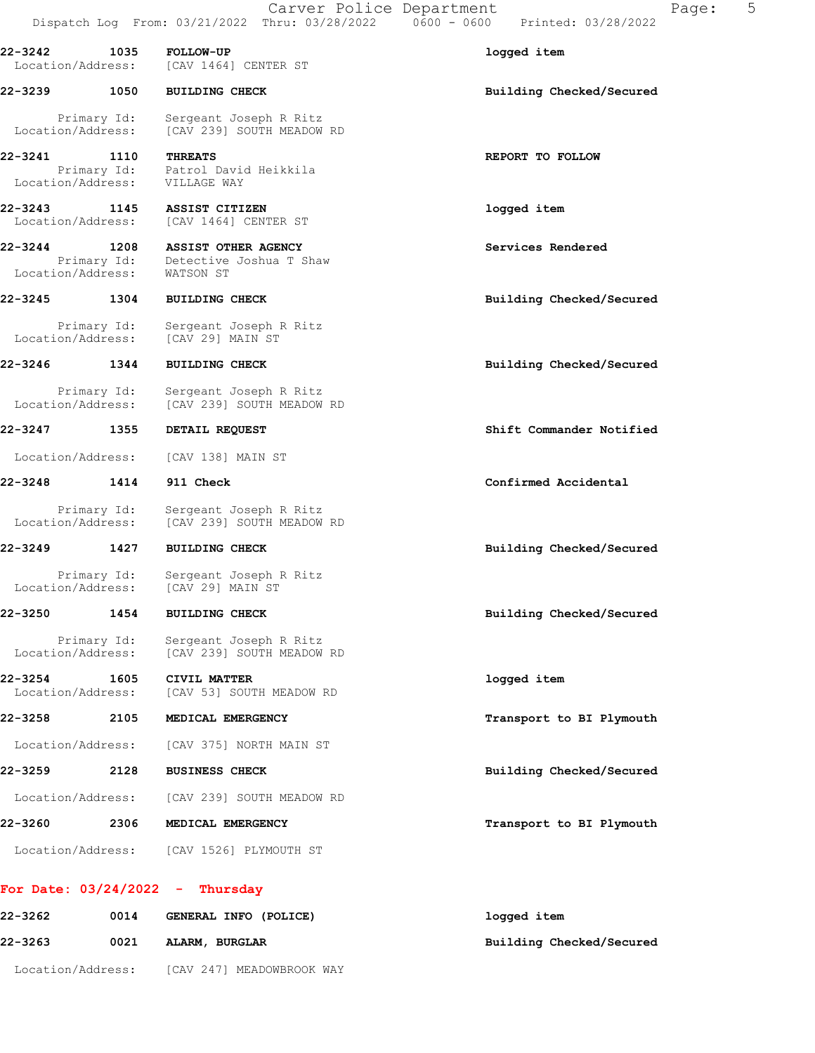| 22-3242 1035<br>Location/Address: |             | <b>FOLLOW-UP</b><br>[CAV 1464] CENTER ST                           | logged item              |
|-----------------------------------|-------------|--------------------------------------------------------------------|--------------------------|
| 22-3239 1050                      |             | <b>BUILDING CHECK</b>                                              | Building Checked/Secured |
| Location/Address:                 | Primary Id: | Sergeant Joseph R Ritz<br>[CAV 239] SOUTH MEADOW RD                |                          |
| 22-3241 1110<br>Location/Address: |             | <b>THREATS</b><br>Primary Id: Patrol David Heikkila<br>VILLAGE WAY | REPORT TO FOLLOW         |
| 22-3243 1145<br>Location/Address: |             | ASSIST CITIZEN<br>[CAV 1464] CENTER ST                             | logged item              |
| 22-3244 1208<br>Location/Address: | Primary Id: | ASSIST OTHER AGENCY<br>Detective Joshua T Shaw<br>WATSON ST        | Services Rendered        |
| 22-3245                           | 1304        | <b>BUILDING CHECK</b>                                              | Building Checked/Secured |
| Location/Address:                 | Primary Id: | Sergeant Joseph R Ritz<br>[CAV 29] MAIN ST                         |                          |
| 22-3246                           | 1344        | <b>BUILDING CHECK</b>                                              | Building Checked/Secured |
| Location/Address:                 | Primary Id: | Sergeant Joseph R Ritz<br>[CAV 239] SOUTH MEADOW RD                |                          |
| 22-3247                           | 1355        | DETAIL REQUEST                                                     | Shift Commander Notified |
| Location/Address:                 |             | [CAV 138] MAIN ST                                                  |                          |
| 22-3248                           | 1414        | 911 Check                                                          | Confirmed Accidental     |
| Location/Address:                 | Primary Id: | Sergeant Joseph R Ritz<br>[CAV 239] SOUTH MEADOW RD                |                          |
| $22 - 3249$                       | 1427        | <b>BUILDING CHECK</b>                                              | Building Checked/Secured |
| Location/Address:                 | Primary Id: | Sergeant Joseph R Ritz<br>[CAV 29] MAIN ST                         |                          |
| 22-3250                           | 1454        | <b>BUILDING CHECK</b>                                              | Building Checked/Secured |
| Location/Address:                 | Primary Id: | Sergeant Joseph R Ritz<br>[CAV 239] SOUTH MEADOW RD                |                          |
| 22-3254<br>Location/Address:      | 1605        | CIVIL MATTER<br>[CAV 53] SOUTH MEADOW RD                           | logged item              |
| 22-3258                           | 2105        | MEDICAL EMERGENCY                                                  | Transport to BI Plymouth |
| Location/Address:                 |             | [CAV 375] NORTH MAIN ST                                            |                          |
| 22-3259                           | 2128        | <b>BUSINESS CHECK</b>                                              | Building Checked/Secured |
| Location/Address:                 |             | [CAV 239] SOUTH MEADOW RD                                          |                          |
| 22-3260                           | 2306        | MEDICAL EMERGENCY                                                  | Transport to BI Plymouth |
| Location/Address:                 |             | [CAV 1526] PLYMOUTH ST                                             |                          |

# For Date: 03/24/2022 - Thursday

| 22-3262           | 0014 | GENERAL INFO (POLICE)     | logged item              |
|-------------------|------|---------------------------|--------------------------|
| 22-3263           | 0021 | ALARM, BURGLAR            | Building Checked/Secured |
| Location/Address: |      | [CAV 247] MEADOWBROOK WAY |                          |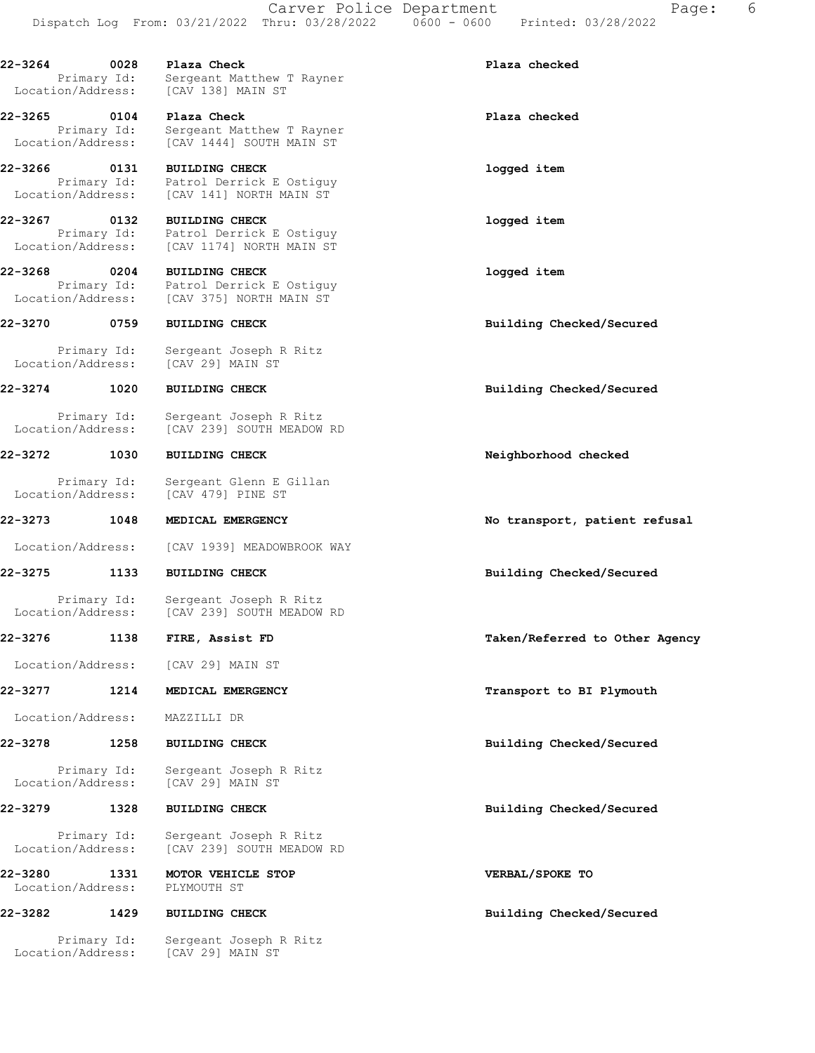22-3264 0028 Plaza Check Plaza checked Primary Id: Sergeant Matthew T Rayner<br>Location/Address: [CAV 138] MAIN ST [CAV 138] MAIN ST 22-3265 0104 Plaza Check Plaza checked Primary Id: Sergeant Matthew T Rayner Location/Address: [CAV 1444] SOUTH MAIN ST 22-3266 0131 BUILDING CHECK logged item Primary Id: Patrol Derrick E Ostiguy Location/Address: [CAV 141] NORTH MAIN ST 22-3267 0132 BUILDING CHECK logged item Primary Id: Patrol Derrick E Ostiguy Location/Address: [CAV 1174] NORTH MAIN ST 22-3268 0204 BUILDING CHECK logged item Primary Id: Patrol Derrick E Ostiguy Location/Address: [CAV 375] NORTH MAIN ST 22-3270 0759 BUILDING CHECK Building Checked/Secured Primary Id: Sergeant Joseph R Ritz Location/Address: [CAV 29] MAIN ST 22-3274 1020 BUILDING CHECK Building Checked/Secured Primary Id: Sergeant Joseph R Ritz Location/Address: [CAV 239] SOUTH MEADOW RD 22-3272 1030 BUILDING CHECK Neighborhood checked Primary Id: Sergeant Glenn E Gillan Location/Address: [CAV 479] PINE ST 22-3273 1048 MEDICAL EMERGENCY 100 100 No transport, patient refusal Location/Address: [CAV 1939] MEADOWBROOK WAY 22-3275 1133 BUILDING CHECK Building Checked/Secured Primary Id: Sergeant Joseph R Ritz Location/Address: [CAV 239] SOUTH MEADOW RD 22-3276 1138 FIRE, Assist FD Taken/Referred to Other Agency Location/Address: [CAV 29] MAIN ST 22-3277 1214 MEDICAL EMERGENCY **120 CONTACT 1214** MEDICAL EMERGENCY Location/Address: MAZZILLI DR 22-3278 1258 BUILDING CHECK Building Checked/Secured Primary Id: Sergeant Joseph R Ritz<br>Location/Address: [CAV 29] MAIN ST [CAV 29] MAIN ST 22-3279 1328 BUILDING CHECK Building Checked/Secured Primary Id: Sergeant Joseph R Ritz Location/Address: [CAV 239] SOUTH MEADOW RD 22-3280 1331 MOTOR VEHICLE STOP VERBAL/SPOKE TO Location/Address: PLYMOUTH ST 22-3282 1429 BUILDING CHECK Building Checked/Secured

 Primary Id: Sergeant Joseph R Ritz Location/Address: [CAV 29] MAIN ST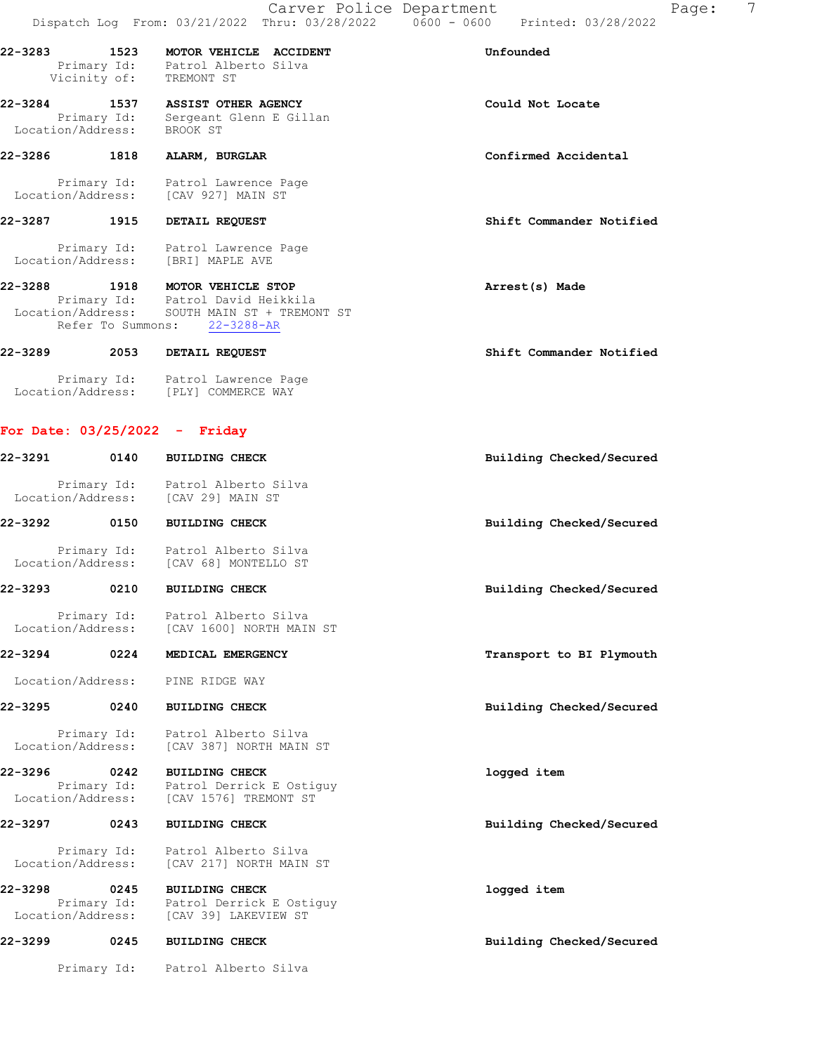|              | 22-3283 1523 MOTOR VEHICLE ACCIDENT<br>Primary Id: Patrol Alberto Silva<br>Vicinity of: TREMONT ST                                           | Unfounded                |
|--------------|----------------------------------------------------------------------------------------------------------------------------------------------|--------------------------|
| 22-3284      | 1537 ASSIST OTHER AGENCY<br>Primary Id: Sergeant Glenn E Gillan<br>Location/Address: BROOK ST                                                | Could Not Locate         |
| 22-3286 1818 | ALARM, BURGLAR                                                                                                                               | Confirmed Accidental     |
|              | Primary Id: Patrol Lawrence Page<br>Location/Address: [CAV 927] MAIN ST                                                                      |                          |
| 22-3287 1915 | DETAIL REQUEST                                                                                                                               | Shift Commander Notified |
|              | Primary Id: Patrol Lawrence Page<br>Location/Address: [BRI] MAPLE AVE                                                                        |                          |
| 22-3288      | 1918 MOTOR VEHICLE STOP<br>Primary Id: Patrol David Heikkila<br>Location/Address: SOUTH MAIN ST + TREMONT ST<br>Refer To Summons: 22-3288-AR | Arrest(s) Made           |
|              | 22-3289 2053 DETAIL REQUEST                                                                                                                  | Shift Commander Notified |
|              | Primary Id: Patrol Lawrence Page<br>Location/Address: [PLY] COMMERCE WAY                                                                     |                          |

| $22 - 3291$                  | 0140                | <b>BUILDING CHECK</b>                                                                                   | Building Checked/Secured |
|------------------------------|---------------------|---------------------------------------------------------------------------------------------------------|--------------------------|
|                              |                     | Primary Id: Patrol Alberto Silva<br>Location/Address: [CAV 29] MAIN ST                                  |                          |
| 22-3292 0150                 |                     | <b>BUILDING CHECK</b>                                                                                   | Building Checked/Secured |
|                              | Primary Id:         | Patrol Alberto Silva<br>Location/Address: [CAV 68] MONTELLO ST                                          |                          |
| 22-3293                      | 0210                | <b>BUILDING CHECK</b>                                                                                   | Building Checked/Secured |
| Location/Address:            | Primary Id:         | Patrol Alberto Silva<br>[CAV 1600] NORTH MAIN ST                                                        |                          |
| 22-3294                      | 0224                | MEDICAL EMERGENCY                                                                                       | Transport to BI Plymouth |
| Location/Address:            |                     | PINE RIDGE WAY                                                                                          |                          |
| 22-3295                      | 0240                | <b>BUILDING CHECK</b>                                                                                   | Building Checked/Secured |
|                              |                     | Primary Id: Patrol Alberto Silva<br>Location/Address: [CAV 387] NORTH MAIN ST                           |                          |
| 22-3296<br>Location/Address: | 0242<br>Primary Id: | <b>BUILDING CHECK</b><br>Patrol Derrick E Ostiguy<br>[CAV 1576] TREMONT ST                              | logged item              |
| 22-3297                      | 0243                | <b>BUILDING CHECK</b>                                                                                   | Building Checked/Secured |
| Location/Address:            | Primary Id:         | Patrol Alberto Silva<br>[CAV 217] NORTH MAIN ST                                                         |                          |
| 22-3298                      | 0245                | <b>BUILDING CHECK</b><br>Primary Id: Patrol Derrick E Ostiguy<br>Location/Address: [CAV 39] LAKEVIEW ST | logged item              |
| 22-3299                      | 0245                | <b>BUILDING CHECK</b>                                                                                   | Building Checked/Secured |

Primary Id: Patrol Alberto Silva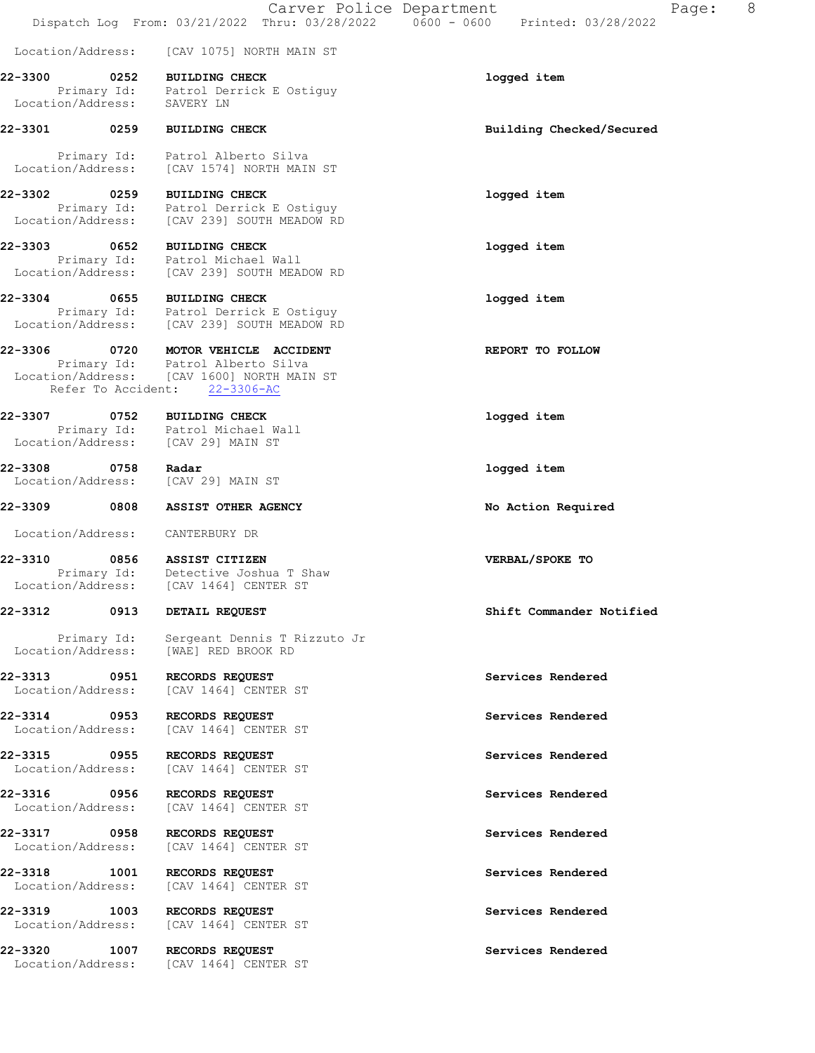Carver Police Department Fage: 8 Dispatch Log From: 03/21/2022 Thru: 03/28/2022 0600 - 0600 Printed: 03/28/2022 Location/Address: [CAV 1075] NORTH MAIN ST 22-3300 0252 BUILDING CHECK logged item Primary Id: Patrol Derrick E Ostiguy Location/Address: SAVERY LN 22-3301 0259 BUILDING CHECK Building Checked/Secured Primary Id: Patrol Alberto Silva Location/Address: [CAV 1574] NORTH MAIN ST 22-3302 0259 BUILDING CHECK logged item Primary Id: Patrol Derrick E Ostiguy Location/Address: [CAV 239] SOUTH MEADOW RD 22-3303 0652 BUILDING CHECK logged item Primary Id: Patrol Michael Wall Location/Address: [CAV 239] SOUTH MEADOW RD 22-3304 0655 BUILDING CHECK logged item Primary Id: Patrol Derrick E Ostiguy Location/Address: [CAV 239] SOUTH MEADOW RD 22-3306 0720 MOTOR VEHICLE ACCIDENT **REPORT TO FOLLOW**  Primary Id: Patrol Alberto Silva Location/Address: [CAV 1600] NORTH MAIN ST Refer To Accident: 22-3306-AC 22-3307 0752 BUILDING CHECK **10000000000000000000000000000000000**  Primary Id: Patrol Michael Wall Location/Address: [CAV 29] MAIN ST 22-3308 0758 Radar **notation and the CONTER** logged item Location/Address: [CAV 29] MAIN ST 22-3309 0808 ASSIST OTHER AGENCY No Action Required Location/Address: CANTERBURY DR 22-3310 0856 ASSIST CITIZEN VERBAL/SPOKE TO Primary Id: Detective Joshua T Shaw Location/Address: [CAV 1464] CENTER ST 22-3312 0913 DETAIL REQUEST Shift Commander Notified Primary Id: Sergeant Dennis T Rizzuto Jr Location/Address: [WAE] RED BROOK RD 22-3313 0951 RECORDS REQUEST Services Rendered Location/Address: [CAV 1464] CENTER ST 22-3314 0953 RECORDS REQUEST Services Rendered Location/Address: [CAV 1464] CENTER ST 22-3315 0955 RECORDS REQUEST Services Rendered Location/Address: [CAV 1464] CENTER ST 22-3316 0956 RECORDS REQUEST Services Rendered Location/Address: [CAV 1464] CENTER ST 22-3317 0958 RECORDS REQUEST Services Rendered Location/Address: [CAV 1464] CENTER ST 22-3318 1001 RECORDS REQUEST Services Rendered

22-3319 1003 RECORDS REQUEST Services Rendered Location/Address: [CAV 1464] CENTER ST

Location/Address: [CAV 1464] CENTER ST

22-3320 1007 RECORDS REQUEST Services Rendered Location/Address: [CAV 1464] CENTER ST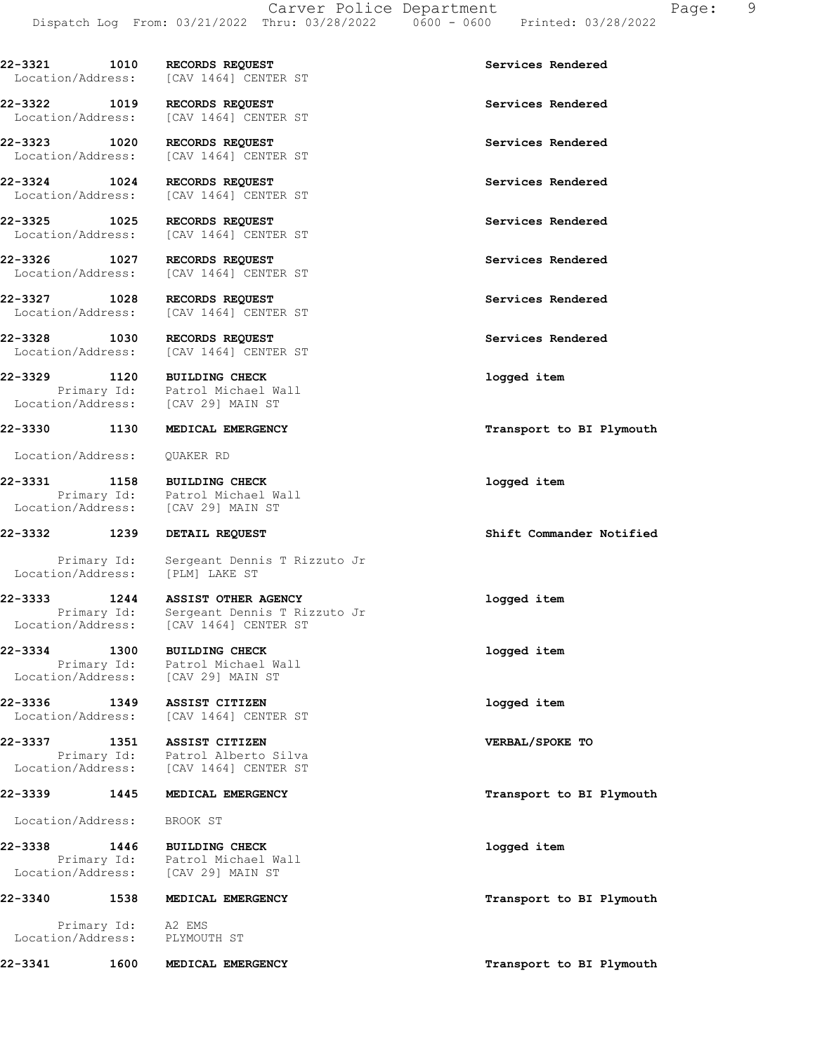| 22-3321           | 1010 | <b>RECORDS REOUEST</b> | Services Rendered |  |
|-------------------|------|------------------------|-------------------|--|
| Location/Address: |      | [CAV 1464] CENTER ST   |                   |  |

22-3322 1019 RECORDS REQUEST Services Rendered Services Rendered Services Rendered

Location/Address: [CAV 29] MAIN ST

Location/Address: QUAKER RD

22-3331 1158 BUILDING CHECK logged item Location/Address: [CAV 29] MAIN ST

Primary Id: Sergeant Dennis T Rizzuto Jr<br>ion/Address: [PLM] LAKE ST Location/Address:

22-3333 1244 ASSIST OTHER AGENCY logged item Primary Id: Sergeant Dennis T Rizzuto Jr Location/Address: [CAV 1464] CENTER ST

 Primary Id: Patrol Michael Wall Location/Address: [CAV 29] MAIN ST

22-3336 1349 ASSIST CITIZEN logged item Location/Address: [CAV 1464] CENTER ST

22-3337 1351 ASSIST CITIZEN VERBAL/SPOKE TO Primary Id: Patrol Alberto Silva Location/Address: [CAV 1464] CENTER ST

Location/Address: BROOK ST

 Primary Id: A2 EMS Location/Address: PLYMOUTH ST

[CAV 1464] CENTER ST 22-3323 1020 RECORDS REQUEST Services Rendered Location/Address: [CAV 1464] CENTER ST

22-3324 1024 RECORDS REQUEST Services Rendered Location/Address: [CAV 1464] CENTER ST

22-3325 1025 RECORDS REQUEST Services Rendered Location/Address: [CAV 1464] CENTER ST

22-3326 1027 RECORDS REQUEST Services Rendered Location/Address: [CAV 1464] CENTER ST

22-3327 1028 RECORDS REQUEST<br>
Location/Address: [CAV 1464] CENTER ST [CAV 1464] CENTER ST

22-3328 1030 RECORDS REQUEST Services Rendered Location/Address: [CAV 1464] CENTER ST

22-3329 1120 BUILDING CHECK logged item Primary Id: Patrol Michael Wall

Primary Id: Patrol Michael Wall

### 22-3332 1239 DETAIL REQUEST Shift Commander Notified

22-3334 1300 BUILDING CHECK logged item

22-3338 1446 BUILDING CHECK logged item Primary Id: Patrol Michael Wall Location/Address: [CAV 29] MAIN ST

22-3341 1600 MEDICAL EMERGENCY 1600 1000 Transport to BI Plymouth

22-3330 1130 MEDICAL EMERGENCY **120 120 MEDICAL EMERGENCY** 120 MEDICAL PORT 120 MEDICAL EMERGENCY

22-3339 1445 MEDICAL EMERGENCY **145 CONTRACT SERVIT EXAMPLE 1445** MEDICAL EMERGENCY

22-3340 1538 MEDICAL EMERGENCY **1200 1200 1200 1200 1200 1200 131** Plymouth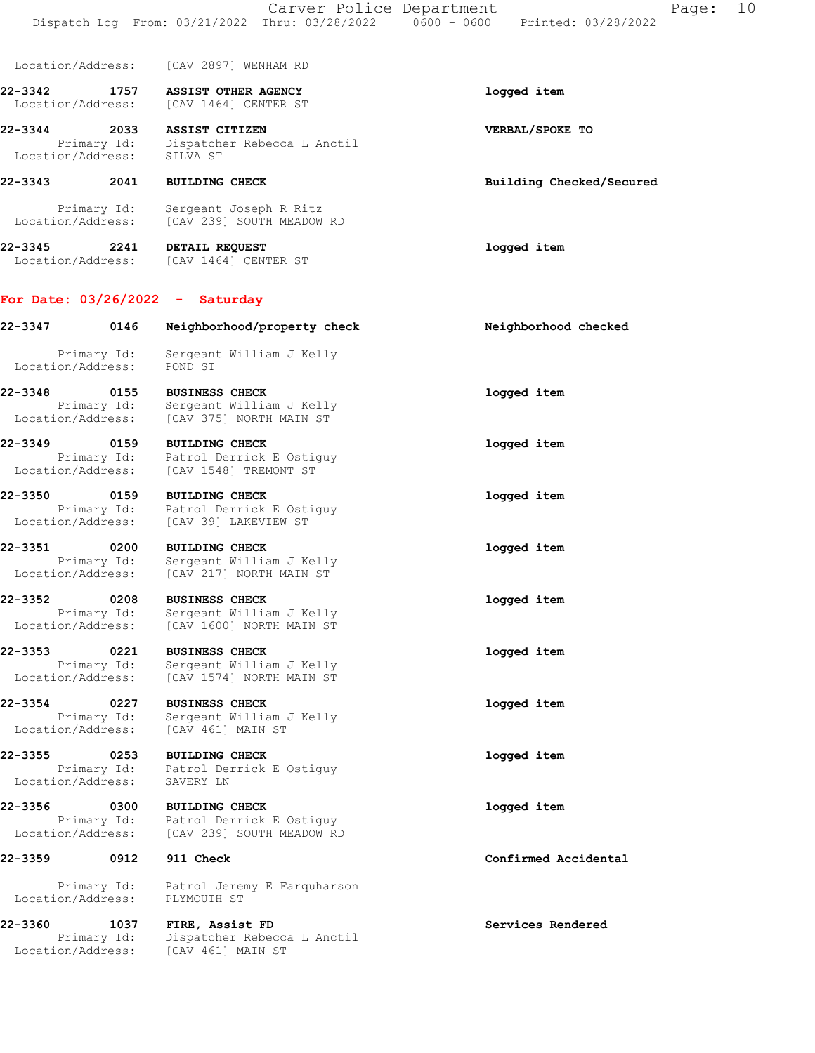| Location/Address: |  |  | [CAV 2897] WENHAM RD |  |
|-------------------|--|--|----------------------|--|
|-------------------|--|--|----------------------|--|

22-3342 1757 ASSIST OTHER AGENCY logged item Location/Address: [CAV 1464] CENTER ST

22-3344 2033 ASSIST CITIZEN VERBAL/SPOKE TO Primary Id: Dispatcher Rebecca L Anctil Location/Address: SILVA ST

### 22-3343 2041 BUILDING CHECK Building Checked/Secured

 Primary Id: Sergeant Joseph R Ritz Location/Address: [CAV 239] SOUTH MEADOW RD

22-3345 2241 DETAIL REQUEST logged item Location/Address: [CAV 1464] CENTER ST

## For Date: 03/26/2022 - Saturday

Location/Address: [CAV 461] MAIN ST

| 22-3347           | 0146                | Neighborhood/property check                          | Neighborhood checked |
|-------------------|---------------------|------------------------------------------------------|----------------------|
| Location/Address: | Primary Id:         | Sergeant William J Kelly<br>POND ST                  |                      |
| 22-3348 0155      |                     | <b>BUSINESS CHECK</b>                                | logged item          |
| Location/Address: | Primary Id:         | Sergeant William J Kelly<br>[CAV 375] NORTH MAIN ST  |                      |
| 22-3349           | 0159                | <b>BUILDING CHECK</b>                                | logged item          |
| Location/Address: | Primary Id:         | Patrol Derrick E Ostiquy<br>[CAV 1548] TREMONT ST    |                      |
| 22-3350           | 0159                | <b>BUILDING CHECK</b>                                | logged item          |
| Location/Address: | Primary Id:         | Patrol Derrick E Ostiguy<br>[CAV 39] LAKEVIEW ST     |                      |
| 22-3351           | 0200                | <b>BUILDING CHECK</b>                                | logged item          |
| Location/Address: | Primary Id:         | Sergeant William J Kelly<br>[CAV 217] NORTH MAIN ST  |                      |
| 22-3352           | 0208                | <b>BUSINESS CHECK</b>                                | logged item          |
| Location/Address: | Primary Id:         | Sergeant William J Kelly<br>[CAV 1600] NORTH MAIN ST |                      |
| 22-3353           | 0221                | <b>BUSINESS CHECK</b>                                | logged item          |
| Location/Address: | Primary Id:         | Sergeant William J Kelly<br>[CAV 1574] NORTH MAIN ST |                      |
| 22-3354           | 0227                | <b>BUSINESS CHECK</b>                                | logged item          |
| Location/Address: | Primary Id:         | Sergeant William J Kelly<br>[CAV 461] MAIN ST        |                      |
| 22-3355 2011      | 0253                | <b>BUILDING CHECK</b>                                | logged item          |
| Location/Address: | Primary Id:         | Patrol Derrick E Ostiquy<br>SAVERY LN                |                      |
|                   |                     |                                                      |                      |
| 22-3356 0300      | Primary Id:         | <b>BUILDING CHECK</b><br>Patrol Derrick E Ostiguy    | logged item          |
| Location/Address: |                     | [CAV 239] SOUTH MEADOW RD                            |                      |
| 22-3359           | 0912                | 911 Check                                            | Confirmed Accidental |
| Location/Address: | Primary Id:         | Patrol Jeremy E Farquharson<br>PLYMOUTH ST           |                      |
|                   |                     |                                                      |                      |
| 22-3360           | 1037<br>Primary Id: | FIRE, Assist FD<br>Dispatcher Rebecca L Anctil       | Services Rendered    |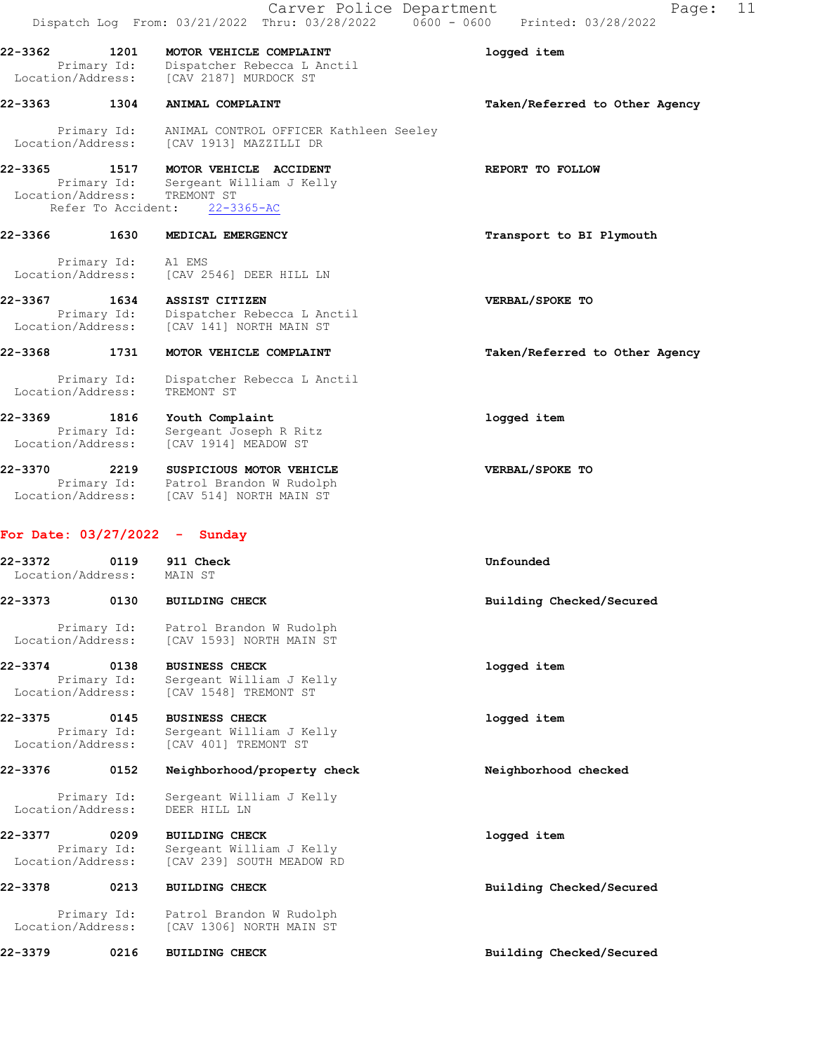|                                             |                     | Carver Police Department<br>Dispatch Log From: 03/21/2022 Thru: 03/28/2022   0600 - 0600   Printed: 03/28/2022                  | 11<br>Page:                    |
|---------------------------------------------|---------------------|---------------------------------------------------------------------------------------------------------------------------------|--------------------------------|
| 22-3362<br>Primary Id:<br>Location/Address: | 1201                | MOTOR VEHICLE COMPLAINT<br>Dispatcher Rebecca L Anctil<br>[CAV 2187] MURDOCK ST                                                 | logged item                    |
| 22-3363 1304                                |                     | ANIMAL COMPLAINT                                                                                                                | Taken/Referred to Other Agency |
| Location/Address:                           | Primary Id:         | ANIMAL CONTROL OFFICER Kathleen Seeley<br>[CAV 1913] MAZZILLI DR                                                                |                                |
|                                             | Refer To Accident:  | 22-3365 1517 MOTOR VEHICLE ACCIDENT<br>Primary Id: Sergeant William J Kelly<br>Location/Address: TREMONT ST<br>$22 - 3365 - AC$ | REPORT TO FOLLOW               |
| 22-3366 1630                                |                     | MEDICAL EMERGENCY                                                                                                               | Transport to BI Plymouth       |
| Location/Address:                           | Primary Id: A1 EMS  | [CAV 2546] DEER HILL LN                                                                                                         |                                |
| 22-3367<br>Location/Address:                | 1634<br>Primary Id: | ASSIST CITIZEN<br>Dispatcher Rebecca L Anctil<br>[CAV 141] NORTH MAIN ST                                                        | VERBAL/SPOKE TO                |
| 22-3368                                     | 1731                | MOTOR VEHICLE COMPLAINT                                                                                                         | Taken/Referred to Other Agency |
| Location/Address:                           | Primary Id:         | Dispatcher Rebecca L Anctil<br>TREMONT ST                                                                                       |                                |
| 22-3369<br>Location/Address:                | 1816<br>Primary Id: | Youth Complaint<br>Sergeant Joseph R Ritz<br>[CAV 1914] MEADOW ST                                                               | logged item                    |
| 22-3370 2219<br>Location/Address:           |                     | SUSPICIOUS MOTOR VEHICLE<br>Primary Id: Patrol Brandon W Rudolph<br>[CAV 514] NORTH MAIN ST                                     | VERBAL/SPOKE TO                |
|                                             |                     | For Date: $03/27/2022 -$ Sunday                                                                                                 |                                |
| 22-3372<br>Location/Address: MAIN ST        |                     | 0119 911 Check                                                                                                                  | Unfounded                      |
| 22-3373                                     | 0130                | <b>BUILDING CHECK</b>                                                                                                           | Building Checked/Secured       |
| Location/Address:                           | Primary Id:         | Patrol Brandon W Rudolph<br>[CAV 1593] NORTH MAIN ST                                                                            |                                |
| 22-3374<br>Location/Address:                | 0138<br>Primary Id: | <b>BUSINESS CHECK</b><br>Sergeant William J Kelly<br>[CAV 1548] TREMONT ST                                                      | logged item                    |
| 22-3375<br>Location/Address:                | 0145<br>Primary Id: | <b>BUSINESS CHECK</b><br>Sergeant William J Kelly<br>[CAV 401] TREMONT ST                                                       | logged item                    |
| 22-3376                                     | 0152                | Neighborhood/property check                                                                                                     | Neighborhood checked           |
| Location/Address:                           | Primary Id:         | Sergeant William J Kelly<br>DEER HILL LN                                                                                        |                                |
| 22-3377<br>Location/Address:                | 0209<br>Primary Id: | <b>BUILDING CHECK</b><br>Sergeant William J Kelly<br>[CAV 239] SOUTH MEADOW RD                                                  | logged item                    |
| 22-3378                                     | 0213                | <b>BUILDING CHECK</b>                                                                                                           | Building Checked/Secured       |
| Location/Address:                           | Primary Id:         | Patrol Brandon W Rudolph<br>[CAV 1306] NORTH MAIN ST                                                                            |                                |

22-3379 0216 BUILDING CHECK Building Checked/Secured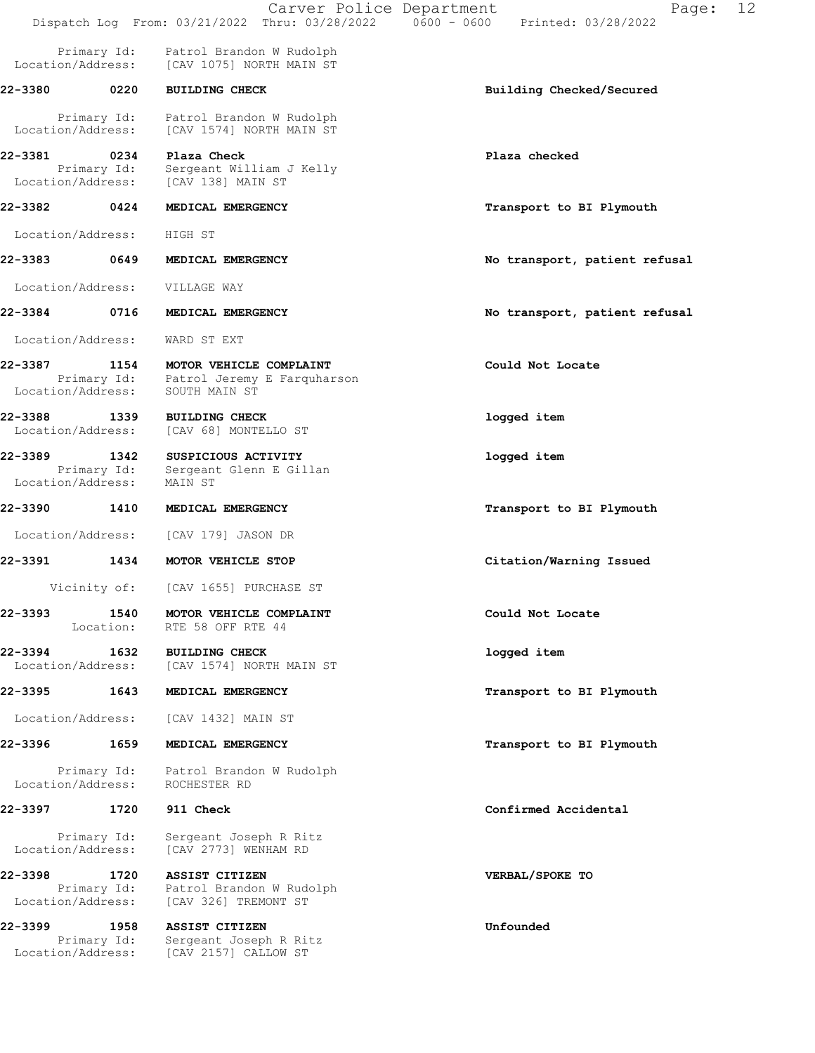|                                                                          |                           | Carver Police Department                                                       | 12<br>Page:<br>Dispatch Log From: 03/21/2022 Thru: 03/28/2022   0600 - 0600   Printed: 03/28/2022 |
|--------------------------------------------------------------------------|---------------------------|--------------------------------------------------------------------------------|---------------------------------------------------------------------------------------------------|
| Location/Address:                                                        | Primary Id:               | Patrol Brandon W Rudolph<br>[CAV 1075] NORTH MAIN ST                           |                                                                                                   |
| 22-3380 0220                                                             |                           | <b>BUILDING CHECK</b>                                                          | Building Checked/Secured                                                                          |
| Location/Address:                                                        | Primary Id:               | Patrol Brandon W Rudolph<br>[CAV 1574] NORTH MAIN ST                           |                                                                                                   |
| 22-3381                                                                  | 0234<br>Primary Id:       | Plaza Check<br>Sergeant William J Kelly<br>Location/Address: [CAV 138] MAIN ST | Plaza checked                                                                                     |
| 22-3382                                                                  | 0424                      | MEDICAL EMERGENCY                                                              | Transport to BI Plymouth                                                                          |
| Location/Address:                                                        |                           | HIGH ST                                                                        |                                                                                                   |
| 22-3383                                                                  | 0649                      | MEDICAL EMERGENCY                                                              | No transport, patient refusal                                                                     |
| Location/Address:                                                        |                           | VILLAGE WAY                                                                    |                                                                                                   |
| 22-3384                                                                  | 0716                      | MEDICAL EMERGENCY                                                              | No transport, patient refusal                                                                     |
| Location/Address:                                                        |                           | WARD ST EXT                                                                    |                                                                                                   |
| 22-3387<br>Location/Address:                                             | 1154<br>Primary Id:       | MOTOR VEHICLE COMPLAINT<br>Patrol Jeremy E Farquharson<br>SOUTH MAIN ST        | Could Not Locate                                                                                  |
| 22-3388                                                                  | 1339<br>Location/Address: | <b>BUILDING CHECK</b><br>[CAV 68] MONTELLO ST                                  | logged item                                                                                       |
| 22-3389<br>Location/Address:                                             | 1342<br>Primary Id:       | SUSPICIOUS ACTIVITY<br>Sergeant Glenn E Gillan<br>MAIN ST                      | logged item                                                                                       |
| 22-3390                                                                  | 1410                      | MEDICAL EMERGENCY                                                              | Transport to BI Plymouth                                                                          |
| Location/Address:                                                        |                           | [CAV 179] JASON DR                                                             |                                                                                                   |
| 22-3391                                                                  | 1434                      | MOTOR VEHICLE STOP                                                             | Citation/Warning Issued                                                                           |
|                                                                          | Vicinity of:              | [CAV 1655] PURCHASE ST                                                         |                                                                                                   |
| 22-3393                                                                  | 1540<br>Location:         | MOTOR VEHICLE COMPLAINT<br>RTE 58 OFF RTE 44                                   | Could Not Locate                                                                                  |
| 22-3394<br>Location/Address:                                             | 1632                      | <b>BUILDING CHECK</b><br>[CAV 1574] NORTH MAIN ST                              | logged item                                                                                       |
| 22-3395                                                                  | 1643                      | MEDICAL EMERGENCY                                                              | Transport to BI Plymouth                                                                          |
| Location/Address:                                                        |                           | [CAV 1432] MAIN ST                                                             |                                                                                                   |
| 22-3396                                                                  | 1659                      | MEDICAL EMERGENCY                                                              | Transport to BI Plymouth                                                                          |
| Location/Address:                                                        | Primary Id:               | Patrol Brandon W Rudolph<br>ROCHESTER RD                                       |                                                                                                   |
| 22-3397                                                                  | 1720                      | 911 Check                                                                      | Confirmed Accidental                                                                              |
| Location/Address:                                                        | Primary Id:               | Sergeant Joseph R Ritz<br>[CAV 2773] WENHAM RD                                 |                                                                                                   |
| 22-3398<br>Location/Address:                                             | 1720<br>Primary Id:       | ASSIST CITIZEN<br>Patrol Brandon W Rudolph<br>[CAV 326] TREMONT ST             | VERBAL/SPOKE TO                                                                                   |
| 22-3399<br>1958<br>Primary Id:<br>Location/Address: [CAV 2157] CALLOW ST |                           | ASSIST CITIZEN<br>Sergeant Joseph R Ritz                                       | Unfounded                                                                                         |
|                                                                          |                           |                                                                                |                                                                                                   |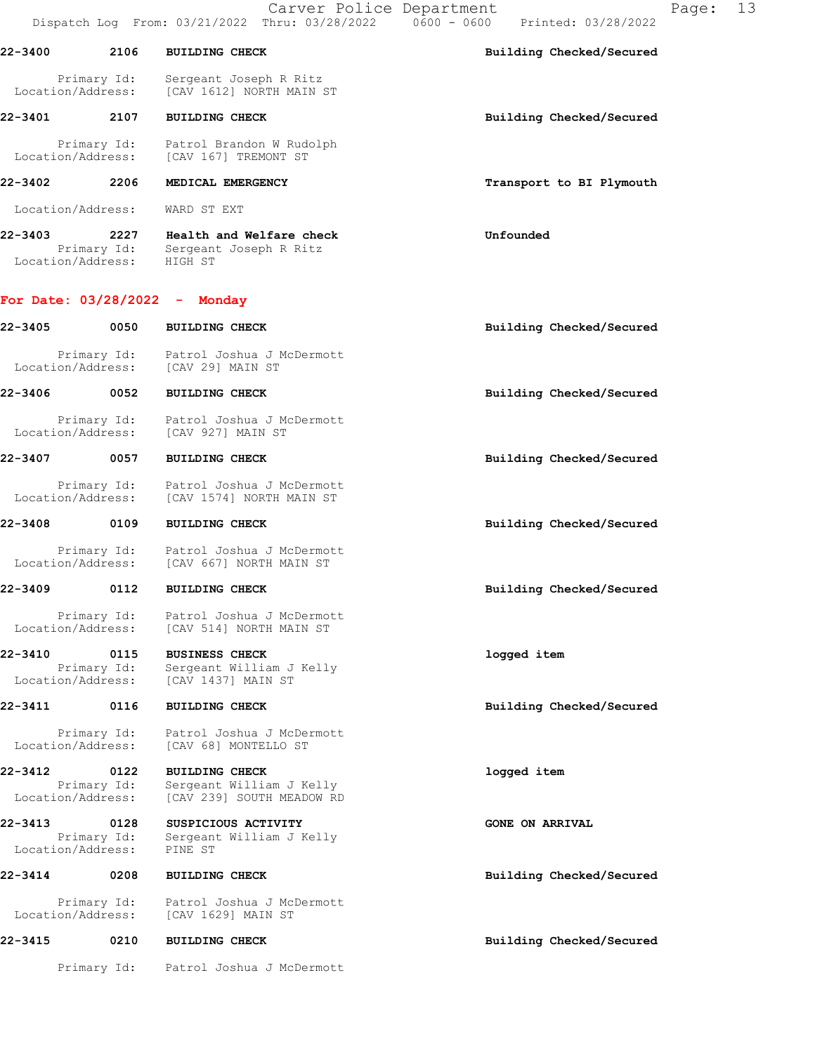Carver Police Department Fage: 13 Dispatch Log From: 03/21/2022 Thru: 03/28/2022 0600 - 0600 Printed: 03/28/2022

| 22-3400           | 2106        | <b>BUILDING CHECK</b>                              | Building Checked/Secured |
|-------------------|-------------|----------------------------------------------------|--------------------------|
| Location/Address: | Primary Id: | Sergeant Joseph R Ritz<br>[CAV 1612] NORTH MAIN ST |                          |
| 22-3401           | 2107        | <b>BUILDING CHECK</b>                              | Building Checked/Secured |
|                   | Primary Id: | Patrol Brandon W Rudolph                           |                          |

# 22-3402 2206 MEDICAL EMERGENCY **1200 CONTACT 1200 PERITS** Transport to BI Plymouth

Location/Address: WARD ST EXT

22-3403 2227 Health and Welfare check Unfounded Primary Id: Sergeant Joseph R Ritz Location/Address: HIGH ST

## For Date: 03/28/2022 - Monday

| 22-3405                      | 0050                | <b>BUILDING CHECK</b>                                                                                                       | Building Checked/Secured |
|------------------------------|---------------------|-----------------------------------------------------------------------------------------------------------------------------|--------------------------|
|                              | Primary Id:         | Patrol Joshua J McDermott<br>Location/Address: [CAV 29] MAIN ST                                                             |                          |
| $22 - 3406$                  | 0052                | <b>BUILDING CHECK</b>                                                                                                       | Building Checked/Secured |
|                              | Primary Id:         | Patrol Joshua J McDermott<br>Location/Address: [CAV 927] MAIN ST                                                            |                          |
| 22-3407                      | 0057                | <b>BUILDING CHECK</b>                                                                                                       | Building Checked/Secured |
| Location/Address:            | Primary Id:         | Patrol Joshua J McDermott<br>[CAV 1574] NORTH MAIN ST                                                                       |                          |
| 22-3408                      | 0109                | <b>BUILDING CHECK</b>                                                                                                       | Building Checked/Secured |
|                              | Primary Id:         | Patrol Joshua J McDermott<br>Location/Address: [CAV 667] NORTH MAIN ST                                                      |                          |
| 22-3409 0112                 |                     | <b>BUILDING CHECK</b>                                                                                                       | Building Checked/Secured |
| Location/Address:            | Primary Id:         | Patrol Joshua J McDermott<br>[CAV 514] NORTH MAIN ST                                                                        |                          |
| 22-3410                      | 0115                | <b>BUSINESS CHECK</b><br>Primary Id: Sergeant William J<br>Location/Address: [CAV 1437] MAIN ST<br>Sergeant William J Kelly | logged item              |
| 22-3411                      | 0116                | <b>BUILDING CHECK</b>                                                                                                       | Building Checked/Secured |
| Location/Address:            | Primary Id:         | Patrol Joshua J McDermott<br>[CAV 68] MONTELLO ST                                                                           |                          |
| 22-3412<br>Location/Address: | 0122<br>Primary Id: | <b>BUILDING CHECK</b><br>Sergeant William J Kelly<br>[CAV 239] SOUTH MEADOW RD                                              | logged item              |
| 22-3413<br>Location/Address: | 0128<br>Primary Id: | SUSPICIOUS ACTIVITY<br>Sergeant William J Kelly<br>PINE ST                                                                  | <b>GONE ON ARRIVAL</b>   |
| 22-3414                      | 0208                | <b>BUILDING CHECK</b>                                                                                                       | Building Checked/Secured |
|                              | Primary Id:         | Patrol Joshua J McDermott<br>Location/Address: [CAV 1629] MAIN ST                                                           |                          |
| 22-3415                      | 0210                | <b>BUILDING CHECK</b>                                                                                                       | Building Checked/Secured |
|                              |                     | Primary Id: Patrol Joshua J McDermott                                                                                       |                          |
|                              |                     |                                                                                                                             |                          |